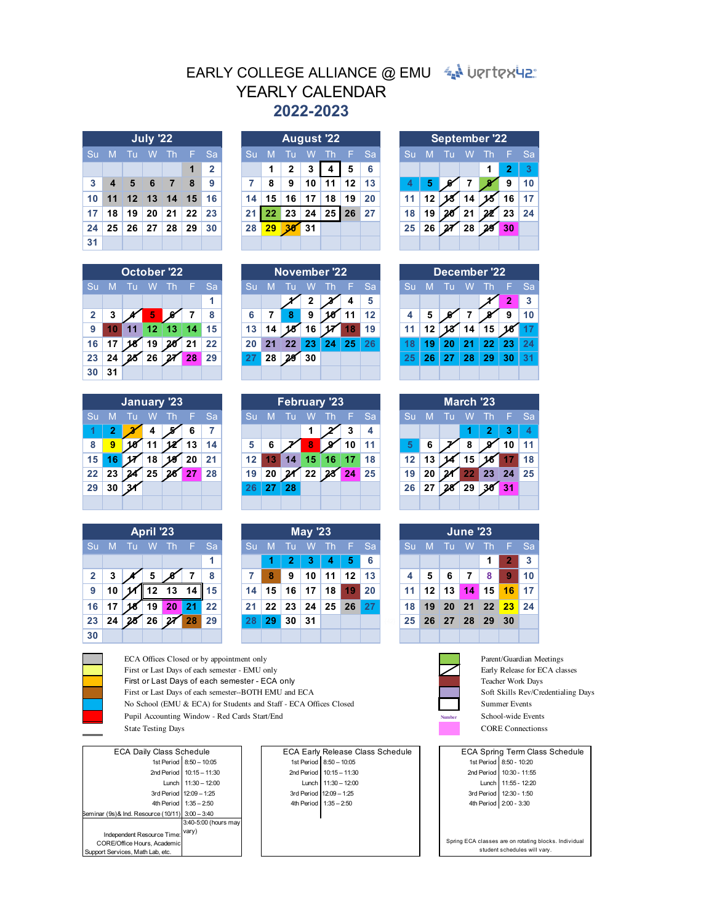## EARLY COLLEGE ALLIANCE @ EMU 4 UPTERUP **2022-2023** YEARLY CALENDAR

| July '22  |  |  |  |             |                                    |              |  |  |  |  |  |  |  |
|-----------|--|--|--|-------------|------------------------------------|--------------|--|--|--|--|--|--|--|
| <b>Su</b> |  |  |  | M Tu W Th F |                                    | Sa           |  |  |  |  |  |  |  |
|           |  |  |  |             | $\overline{\mathbf{1}}$            | $\mathbf{2}$ |  |  |  |  |  |  |  |
| 3         |  |  |  | 4 5 6 7 8   |                                    | - 9          |  |  |  |  |  |  |  |
| 10        |  |  |  |             | $11$ 12 13 14 15 16                |              |  |  |  |  |  |  |  |
|           |  |  |  |             | 17 18 19 20 21 22 23               |              |  |  |  |  |  |  |  |
|           |  |  |  |             | $24$   25   26   27   28   29   30 |              |  |  |  |  |  |  |  |
| 31        |  |  |  |             |                                    |              |  |  |  |  |  |  |  |

| <b>October '22</b> |    |     |    |                                                                               |     |     |  |  |  |  |  |  |  |
|--------------------|----|-----|----|-------------------------------------------------------------------------------|-----|-----|--|--|--|--|--|--|--|
| Su                 | M  | Tu  | W  | T <sub>h</sub>                                                                | -F. | Sa. |  |  |  |  |  |  |  |
|                    |    |     |    |                                                                               |     | 1   |  |  |  |  |  |  |  |
| $\mathbf{2}$       | 3  |     | ♦  |                                                                               | 7   | 8   |  |  |  |  |  |  |  |
| 9                  | 10 |     |    | $11$ 12 13 14                                                                 |     | 15  |  |  |  |  |  |  |  |
| 16                 | 17 | 8 I | 19 | $20$ 21                                                                       |     | 22  |  |  |  |  |  |  |  |
| 23                 | 24 |     |    | $\begin{array}{ c c c c c }\n\hline\n & 26 & \hline\n & 27 & 28\n\end{array}$ |     | 29  |  |  |  |  |  |  |  |
| 30                 | 31 |     |    |                                                                               |     |     |  |  |  |  |  |  |  |

| January '23 |                |    |    |     |    |    |  |  |  |  |  |  |  |
|-------------|----------------|----|----|-----|----|----|--|--|--|--|--|--|--|
| Su          | M              | Тu | W  | Th  | F  | Sa |  |  |  |  |  |  |  |
|             | $\overline{2}$ |    | 4  |     | 6  |    |  |  |  |  |  |  |  |
| 8           | 9              |    | 11 |     | 13 | 14 |  |  |  |  |  |  |  |
| 15          | 16             |    | 18 |     | 20 | 21 |  |  |  |  |  |  |  |
| 22          | 23             |    | 25 | 6 I | 27 | 28 |  |  |  |  |  |  |  |
| 29          | 30             |    |    |     |    |    |  |  |  |  |  |  |  |
|             |                |    |    |     |    |    |  |  |  |  |  |  |  |

|                | <b>April '23</b> |    |    |                |    |    |  |  |  |  |  |  |  |  |  |
|----------------|------------------|----|----|----------------|----|----|--|--|--|--|--|--|--|--|--|
| <b>Su</b>      | M                | Tu | W  | Th             | F  | Sa |  |  |  |  |  |  |  |  |  |
|                |                  |    |    |                |    | 1  |  |  |  |  |  |  |  |  |  |
| $\overline{2}$ | 3                |    | 5  |                |    | 8  |  |  |  |  |  |  |  |  |  |
| 9              | 10               |    | 12 | 13             |    | 15 |  |  |  |  |  |  |  |  |  |
| 16             |                  |    | 19 | 20             | 21 | 22 |  |  |  |  |  |  |  |  |  |
| 23             | 24               |    |    | $5$ 26 $27$ 28 |    | 29 |  |  |  |  |  |  |  |  |  |
| 30             |                  |    |    |                |    |    |  |  |  |  |  |  |  |  |  |

|    |    |    | July '22      |            |         |           |    |              |              |    | <b>August '22</b> |    |           |    |    |  |    |     | <b>September '22</b> |
|----|----|----|---------------|------------|---------|-----------|----|--------------|--------------|----|-------------------|----|-----------|----|----|--|----|-----|----------------------|
| Su | M  |    | W             | <b>Air</b> | ◥▆▖     | <b>Sa</b> | Su | M            | Tu           | w  | -Th               | F. | <b>Sa</b> | Su | M  |  | W  | -Th | 95                   |
|    |    |    |               |            |         | 2         |    |              | $\mathbf{2}$ | 3  | 4                 | 5  | 6         |    |    |  |    |     | 2                    |
| 3  |    | 5  | 6             | 7          | 8       | 9         |    | 8            | 9            | 10 | 11                | 12 | 13        |    | 5  |  |    |     | 9                    |
| 10 | 11 |    | $12 \quad 13$ | 14         | 15      | 16        | 14 | 15           | 16           | 17 | 18                | 19 | 20        |    | 12 |  | 14 |     | 16                   |
| 17 | 18 | 19 | 20            | 21         | $22 \,$ | 23        | 21 | $22^{\circ}$ | 23           | 24 | 25                | 26 | 27        | 18 | 19 |  | 21 | 22  | 23                   |
| 24 | 25 | 26 | 27            | 28         | 29      | 30        | 28 | 29           | 3R           | 31 |                   |    |           | 25 | 26 |  | 28 | 28  | 30                   |
| 31 |    |    |               |            |         |           |    |              |              |    |                   |    |           |    |    |  |    |     |                      |

|                |    | <b>October '22</b> |                 |     |    |           |    |    | November '22 |    |    |    |           |    |    |    |    | December '22 |    |  |
|----------------|----|--------------------|-----------------|-----|----|-----------|----|----|--------------|----|----|----|-----------|----|----|----|----|--------------|----|--|
| Su             | M  |                    |                 | ı h | æ  | <b>Sa</b> | Su | M  |              | W  | Th |    | <b>Sa</b> | Sū | M  |    |    |              |    |  |
|                |    |                    |                 |     |    | 4         |    |    |              |    |    |    |           |    |    |    |    |              | 2  |  |
| $\overline{2}$ | 3  |                    | 5               |     |    | 8         | 6  |    | 8            | 9  |    |    | 12        |    | 5  |    |    |              | 9  |  |
| 9              | 0  | 11                 | 12 <sup>1</sup> | 13  | 14 | 15        | 13 | 14 |              | 16 |    |    | 19        |    |    |    | 14 | 15           |    |  |
| 16             | 17 |                    | 19              | 20  | 21 | 22        |    | 21 | 22           | 23 | 24 | 25 | 26        |    | 9  | 20 |    | 22           | 23 |  |
| 23             | 24 |                    | 26              |     | 28 | 29        |    | 28 | 29           | 30 |    |    |           | 25 | 26 | 27 | 28 | 29           | 30 |  |
| 30             | 31 |                    |                 |     |    |           |    |    |              |    |    |    |           |    |    |    |    |              |    |  |

|    |    | January '23 |    |    |    |           |    |    |    |     | <b>February '23</b> |    |           |         |    | March '23 |    |    |            |
|----|----|-------------|----|----|----|-----------|----|----|----|-----|---------------------|----|-----------|---------|----|-----------|----|----|------------|
|    |    |             |    |    |    | <b>Sa</b> |    | M  |    |     |                     |    | <b>Sa</b> | Sū      | M  |           |    |    | -Sa        |
|    |    |             |    |    |    |           |    |    |    |     |                     |    |           |         |    |           |    | 3  |            |
| -8 | 9  |             |    |    | 13 | 14        | 5  |    |    |     |                     | 10 |           |         |    | 8         |    |    | 11         |
| 15 |    |             | 18 | 19 |    | 21        |    |    | 14 | 15. | 16                  |    | 18        | $12 \,$ | 13 | 15        |    |    | 18         |
| 22 | 23 |             | 25 |    |    | 28        | 19 | 20 |    | 22  |                     | 24 | 25        | 19      |    | 22        | 23 | 24 | $\vert$ 25 |
| 29 | 30 |             |    |    |    |           |    | 27 | 28 |     |                     |    |           | 26      |    | 29        |    | 31 |            |
|    |    |             |    |    |    |           |    |    |    |     |                     |    |           |         |    |           |    |    |            |

|                 | April '23<br>F Sa |  |    |              |  |            |    |              | <b>May '23</b> |    |           |         |             |                 |                 | <b>June '23</b> |                |     |    |                   |
|-----------------|-------------------|--|----|--------------|--|------------|----|--------------|----------------|----|-----------|---------|-------------|-----------------|-----------------|-----------------|----------------|-----|----|-------------------|
| Su              | M                 |  | W  | -Th          |  |            | Su | $\mathbf{M}$ | -Tu            | W  | <b>Th</b> |         | <b>E</b> Sa | Su              | M               |                 | W              | -Th |    | $F$ Sa            |
|                 |                   |  |    |              |  | -1         |    |              |                |    | 4         | 5       | 6           |                 |                 |                 |                |     |    | $\mathbf{3}$      |
| $\mathbf{2}$    | 3                 |  | 5  |              |  | 8          |    | 8            | 9              | 10 | 11        | $12 \,$ | 13          |                 | 5               | 6               | 7              | 8   | 9  | 10                |
| 9               | 10                |  | 12 | 13 14        |  | $\vert$ 15 | 14 | 15           | 16             | 17 | 18        | 19      | 20          | 11 <sup>1</sup> | 12 <sub>1</sub> | 13              | 14             | 15  | 16 | $\blacksquare$ 17 |
| 16 <sup>1</sup> | 17                |  | 19 | 20           |  | $\vert$ 22 | 21 | 22           | 23             | 24 | 25        | 26      | 27          | 18              | 19              | $-20$           | 21 22 23       |     |    | 24                |
| 23              | 24                |  | 26 | $\mathbf{z}$ |  | 29         |    | 29           | 30             | 31 |           |         |             | 25 <sup>1</sup> |                 |                 | 26 27 28 29 30 |     |    |                   |
| $20^{\circ}$    |                   |  |    |              |  |            |    |              |                |    |           |         |             |                 |                 |                 |                |     |    |                   |

| <b>September '22</b> |    |    |             |    |                         |    |  |  |  |  |  |  |  |
|----------------------|----|----|-------------|----|-------------------------|----|--|--|--|--|--|--|--|
| Su                   | M  | Tu | W           | Th | Æ                       | Sa |  |  |  |  |  |  |  |
|                      |    |    |             | 1  | $\overline{\mathbf{z}}$ | ঽ  |  |  |  |  |  |  |  |
|                      | 5  |    |             |    | 9                       | 10 |  |  |  |  |  |  |  |
| 11                   | 12 |    | 14          |    | 16                      | 17 |  |  |  |  |  |  |  |
| 18                   | 19 |    | 21          |    | 23                      | 24 |  |  |  |  |  |  |  |
| 25                   | 26 |    | $\sqrt{28}$ |    | 30                      |    |  |  |  |  |  |  |  |
|                      |    |    |             |    |                         |    |  |  |  |  |  |  |  |

| December '22 |    |    |    |    |              |    |  |  |  |  |  |  |  |
|--------------|----|----|----|----|--------------|----|--|--|--|--|--|--|--|
| Su           | M  | F  | Sa |    |              |    |  |  |  |  |  |  |  |
|              |    |    |    |    | $\mathbf{2}$ | 3  |  |  |  |  |  |  |  |
| 4            | 5  |    |    |    | 9            | 10 |  |  |  |  |  |  |  |
| 11           | 12 |    | 14 | 15 |              | 17 |  |  |  |  |  |  |  |
| 18           | 19 | 20 | 21 | 22 | 23           | 24 |  |  |  |  |  |  |  |
| 25           | 26 | 27 | 28 | 29 | 30           | 31 |  |  |  |  |  |  |  |
|              |    |    |    |    |              |    |  |  |  |  |  |  |  |

| March '23       |    |    |             |                                                      |    |    |  |  |  |  |  |  |  |
|-----------------|----|----|-------------|------------------------------------------------------|----|----|--|--|--|--|--|--|--|
| <b>Su</b>       | M  | Tu | W           | <b>Th</b>                                            | F  | Sa |  |  |  |  |  |  |  |
|                 |    |    | 1           | 2                                                    | 3  |    |  |  |  |  |  |  |  |
| 5.              | 6  |    | 8           |                                                      | 10 | 11 |  |  |  |  |  |  |  |
| 12 <sub>2</sub> | 13 |    | 15          |                                                      | 17 | 18 |  |  |  |  |  |  |  |
| 19              | 20 |    | $\sqrt{22}$ | $\begin{array}{ c c }\n\hline\n23 & 24\n\end{array}$ |    | 25 |  |  |  |  |  |  |  |
| 26              | 27 |    | $\sqrt{29}$ | 30                                                   | 31 |    |  |  |  |  |  |  |  |
|                 |    |    |             |                                                      |    |    |  |  |  |  |  |  |  |

|                 | <b>June '23</b> |       |  |                                    |                 |      |  |  |  |  |  |  |  |  |
|-----------------|-----------------|-------|--|------------------------------------|-----------------|------|--|--|--|--|--|--|--|--|
| Su,             |                 |       |  | M Tu W Th F                        |                 | Sa   |  |  |  |  |  |  |  |  |
|                 |                 |       |  | 1                                  | $\vert 2 \vert$ | -3   |  |  |  |  |  |  |  |  |
| 4               |                 | 5 6 7 |  | 8                                  | <u>ig</u>       | l 10 |  |  |  |  |  |  |  |  |
|                 |                 |       |  | $11$   12   13   14   15   16   17 |                 |      |  |  |  |  |  |  |  |  |
| 18 <sup>1</sup> |                 |       |  | 19 20 21 22 23 24                  |                 |      |  |  |  |  |  |  |  |  |
|                 |                 |       |  | 25 26 27 28 29 30                  |                 |      |  |  |  |  |  |  |  |  |
|                 |                 |       |  |                                    |                 |      |  |  |  |  |  |  |  |  |

ECA Early Release Class Schedule ECA Spring Term Class Schedule 1st Period 8:50 - 10:20 2nd Period 10:30 - 11:55 Lunch 11:55 - 12:20 3rd Period

> Spring ECA classes are on rotating blocks. Individual student schedules will vary.

ECA Offices Closed or by appointment only Parent/Guardian Meetings Parent/Guardian Meetings First or Last Days of each semester - EMU only Early Release for ECA classes<br>First or Last Days of each semester - ECA only Early Release for ECA classes<br>Teacher Work Days First or Last Days of each semester - ECA only First or Last Days of each semester--BOTH EMU and ECA Soft Skills Rev/Credentialing Days



State Testing Days CORE Connections State Testing Days

| <b>ECA Daily Class Schedule</b>                 |                          |  |
|-------------------------------------------------|--------------------------|--|
|                                                 | 1st Period 8:50 - 10:05  |  |
|                                                 | 2nd Period 10:15 - 11:30 |  |
|                                                 | Lunch 11:30 - 12:00      |  |
|                                                 | 3rd Period 12:09 - 1:25  |  |
|                                                 | 4th Period 1:35 - 2:50   |  |
| Seminar (9s)& Ind. Resource (10/11) 3:00 - 3:40 |                          |  |
|                                                 | 3:40-5:00 (hours may     |  |
| Independent Resource Time:                      | vary)                    |  |
| CORE/Office Hours, Academic                     |                          |  |
| Support Services, Math Lab, etc.                |                          |  |

8:50 – 10:05 (a) 10:05 (a) 10:05 (a) 10:05 (a) 10:05 (a) 10:05 (a) 10:05 (a) 10:05 (a) 10:20 10:15 – 11:30 2nd Period 10:15 – 11:30 11:55 and Period 10:15 – 11:55 11:30 – 12:00 11:30 – 12:00 11:55 - 12:20 Lunch 12:09 – 1:25 | | 3rd Period | 12:09 – 1:25 | 3rd Period | 12:30 - 1:50 1:35 – 2:50 1:35 – 2:50 1:35 – 2:50 1:35 – 2:50 2:50 2:50 2:50 2:00 - 3:30 4th Period 1:35 - 2:50